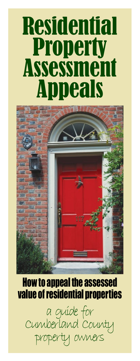# <span id="page-0-0"></span>Residential **Property** Assessment Appeals



### How to appeal the assessed value of residential properties

a guide for Cumberland County property owners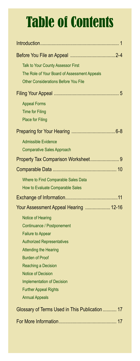## <span id="page-1-0"></span>Table of Contents

| Talk to Your County Assessor First             |
|------------------------------------------------|
| The Role of Your Board of Assessment Appeals   |
| <b>Other Considerations Before You File</b>    |
|                                                |
| <b>Appeal Forms</b>                            |
| <b>Time for Filing</b>                         |
| <b>Place for Filing</b>                        |
|                                                |
| <b>Admissible Evidence</b>                     |
| <b>Comparative Sales Approach</b>              |
|                                                |
|                                                |
| Where to Find Comparable Sales Data            |
| How to Evaluate Comparable Sales               |
|                                                |
| Your Assessment Appeal Hearing  12-16          |
| Notice of Hearing                              |
| Continuance / Postponement                     |
| <b>Failure to Appear</b>                       |
| <b>Authorized Representatives</b>              |
| <b>Attending the Hearing</b>                   |
| <b>Burden of Proof</b>                         |
| Reaching a Decision                            |
| <b>Notice of Decision</b>                      |
| <b>Implementation of Decision</b>              |
| <b>Further Appeal Rights</b>                   |
| <b>Annual Appeals</b>                          |
| Glossary of Terms Used in This Publication  17 |
|                                                |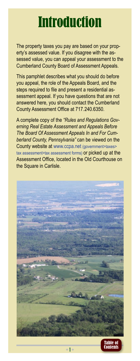### <span id="page-2-0"></span>Introduction

The property taxes you pay are based on your property's assessed value. If you disagree with the assessed value, you can appeal your assessment to the Cumberland County Board of Assessment Appeals.

This pamphlet describes what you should do before you appeal, the role of the Appeals Board, and the steps required to file and present a residential assessment appeal. If you have questions that are not answered here, you should contact the Cumberland County Assessment Office at 717.240.6350.

A complete copy of the *"Rules and Regulations Governing Real Estate Assessment and Appeals Before The Board Of Assessment Appeals In and For Cumberland County, Pennsylvania"* can be viewed on the County website at [www.ccpa.net](http://www.ccpa.net/index.aspx?nid=3587) [\(government>taxes>](http://www.ccpa.net/index.aspx?nid=3587) [tax assessment>tax assessment forms\)](http://www.ccpa.net/index.aspx?nid=3587) or picked up at the Assessment Office, located in the Old Courthouse on the Square in Carlisle.



 $\bullet$  1  $\bullet$ 

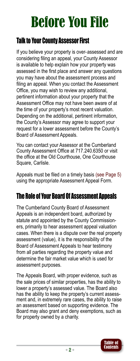### <span id="page-3-0"></span>Before You File

### <span id="page-3-1"></span>Talk to Your County Assessor First

If you believe your property is over-assessed and are considering filing an appeal, your County Assessor is available to help explain how your property was assessed in the first place and answer any questions you may have about the assessment process and filing an appeal. When you contact the Assessment Office, you may wish to review any additional, pertinent information about your property that the Assessment Office may not have been aware of at the time of your property's most recent valuation. Depending on the additional, pertinent information, the County's Assessor may agree to support your request for a lower assessment before the County's Board of Assessment Appeals.

You can contact your Assessor at the Cumberland County Assessment Office at 717.240.6350 or visit the office at the Old Courthouse, One Courthouse Square, Carlisle.

Appeals must be filed on a timely basis [\(see Page 5\)](#page-6-4) using the appropriate Assessment Appeal Form.

### <span id="page-3-2"></span>The Role of Your Board Of Assessment Appeals

The Cumberland County Board of Assessment Appeals is an independent board, authorized by statute and appointed by the County Commissioners, primarily to hear assessment appeal valuation cases. When there is a dispute over the real property assessment (value), it is the responsibility of the Board of Assessment Appeals to hear testimony from all parties regarding the property value and determine the fair market value which is used for assessment purposes.

The Appeals Board, with proper evidence, such as the sale prices of similar properties, has the ability to lower a property's assessed value. The Board also has the ability to keep the property's current assessment and, in extremely rare cases, the ability to raise an assessment based on supporting evidence. The Board may also grant and deny exemptions, such as for property owned by a charity.

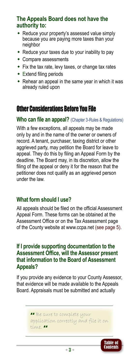### **The Appeals Board does not have the authority to:**

- Reduce your property's assessed value simply because you are paying more taxes than your neighbor
- $\bullet$  Reduce your taxes due to your inability to pay
- $\bullet$  Compare assessments
- $\bullet$  Fix the tax rate, levy taxes, or change tax rates
- $\triangleleft$  Extend filing periods
- $\bullet$  Rehear an appeal in the same year in which it was already ruled upon

### <span id="page-4-0"></span>Other Considerations Before You File

#### **Who can file an appeal?** [\(Chapter 3-Rules & Regulations\)](http://www.ccpa.net/DocumentCenter/Home/View/7313)

With a few exceptions, all appeals may be made only by and in the name of the owner or owners of record. A tenant, purchaser, taxing district or other aggrieved party, may petition the Board for leave to appeal. They do this by filing an Appeal Form by the deadline. The Board may, in its discretion, allow the filing of the appeal or deny it for the reason that the petitioner does not qualify as an aggrieved person under the law.

### **What form should I use?**

All appeals should be filed on the official Assessment Appeal Form. These forms can be obtained at the Assessment Office or on the Tax Assessment page of the County website at www.ccpa.net [\(see page 5\).](#page-6-4)

#### **If I provide supporting documentation to the Assessment Office, will the Assessor present that information to the Board of Assessment Appeals?**

If you provide any evidence to your County Assessor, that evidence will be made available to the Appeals Board. Appraisals must be submitted and actually

> **==** Be sure to complete your<br>application correctly and file it on time.

> > $+3+$

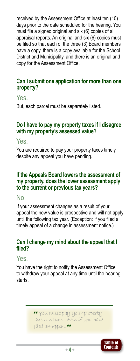received by the Assessment Office at least ten (10) days prior to the date scheduled for the hearing. You must file a signed original and six (6) copies of all appraisal reports. An original and six (6) copies must be filed so that each of the three (3) Board members have a copy, there is a copy available for the School District and Municipality, and there is an original and copy for the Assessment Office.

### **Can I submit one application for more than one property?**

### Yes.

But, each parcel must be separately listed.

#### **Do I have to pay my property taxes if I disagree with my property's assessed value?**

### Yes.

You are required to pay your property taxes timely, despite any appeal you have pending.

#### **If the Appeals Board lowers the assessment of my property, does the lower assessment apply to the current or previous tax years?**

### No.

If your assessment changes as a result of your appeal the new value is prospective and will not apply until the following tax year. (Exception: If you filed a timely appeal of a change in assessment notice.)

#### **Can I change my mind about the appeal that I filed?**

### Yes.

You have the right to notify the Assessment Office to withdraw your appeal at any time until the hearing starts.

> ■ You must pay your property<br>taxes on tíme - even íf you have filed an appeal.

> > $+4+$

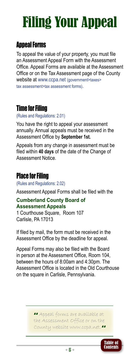### <span id="page-6-4"></span><span id="page-6-0"></span>Filing Your Appeal

### <span id="page-6-1"></span>Appeal Forms

To appeal the value of your property, you must file an Assessment Appeal Form with the Assessment Office. Appeal Forms are available at the Assessment Office or on the Tax Assessment page of the County website a[t www.ccpa.net \(government>taxes>](http://www.ccpa.net/index.aspx?nid=3587) [tax assessment>tax assessment forms\).](http://www.ccpa.net/index.aspx?nid=3587)

### <span id="page-6-2"></span>Time for Filing

[\(Rules and Regulations: 2.01\)](http://www.ccpa.net/DocumentCenter/Home/View/7313)

You have the right to appeal your assessment annually. Annual appeals must be received in the Assessment Office by **September 1st.**

Appeals from any change in assessment must be filed within **40 days** of the date of the Change of Assessment Notice.

### <span id="page-6-3"></span>Place for Filing

[\(Rules and Regulations: 2.02\)](http://www.ccpa.net/DocumentCenter/Home/View/7313)

Assessment Appeal Forms shall be filed with the

#### **Cumberland County Board of Assessment Appeals**

1 Courthouse Square, Room 107 Carlisle, PA 17013

If filed by mail, the form must be received in the Assessment Office by the deadline for appeal.

Appeal Forms may also be filed with the Board in person at the Assessment Office, Room 104, between the hours of 8:00am and 4:30pm. The Assessment Office is located in the Old Courthouse on the square in Carlisle, Pennsylvania.

> **""** Appeal forms are available at<br>the Assessment Office or on the County website www.ccpa.net."

> > $+5+$

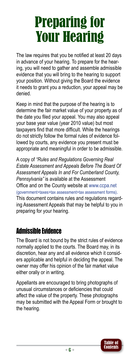### <span id="page-7-0"></span>Preparing for Your Hearing

The law requires that you be notified at least 20 days in advance of your hearing. To prepare for the hearing, you will need to gather and assemble admissible evidence that you will bring to the hearing to support your position. Without giving the Board the evidence it needs to grant you a reduction, your appeal may be denied.

Keep in mind that the purpose of the hearing is to determine the fair market value of your property as of the date you filed your appeal. You may also appeal your base year value (year 2010 value) but most taxpayers find that more difficult. While the hearings do not strictly follow the formal rules of evidence followed by courts, any evidence you present must be appropriate and meaningful in order to be admissible.

A copy of *"Rules and Regulations Governing Real Estate Assessment and Appeals Before The Board Of Assessment Appeals In and For Cumberland County, Pennsylvania"* is available at the Assessment Office and on the County website at [www.ccpa.net](http://www.ccpa.net/index.aspx?nid=3587)  [\(government>taxes>tax assessment>tax assessment forms\).](http://www.ccpa.net/index.aspx?nid=3587)  This document contains rules and regulations regarding Assessment Appeals that may be helpful to you in preparing for your hearing.

### <span id="page-7-1"></span>Admissible Evidence

The Board is not bound by the strict rules of evidence normally applied to the courts. The Board may, in its discretion, hear any and all evidence which it considers applicable and helpful in deciding the appeal. The owner may offer his opinion of the fair market value either orally or in writing.

Appellants are encouraged to bring photographs of unusual circumstances or deficiencies that could affect the value of the property. These photographs may be submitted with the Appeal Form or brought to the hearing.

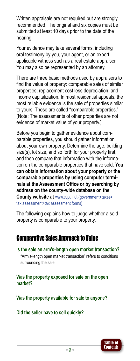Written appraisals are not required but are strongly recommended. The original and six copies must be submitted at least 10 days prior to the date of the hearing.

Your evidence may take several forms, including oral testimony by you, your agent, or an expert applicable witness such as a real estate appraiser. You may also be represented by an attorney.

There are three basic methods used by appraisers to find the value of property: comparable sales of similar properties; replacement cost less depreciation; and income capitalization. In most residential appeals, the most reliable evidence is the sale of properties similar to yours. These are called "comparable properties." (Note: The assessments of other properties are not evidence of market value of your property.)

Before you begin to gather evidence about comparable properties, you should gather information about your own property. Determine the age, building size(s), lot size, and so forth for your property first, and then compare that information with the information on the comparable properties that have sold. **You can obtain information about your property or the comparable properties by using computer terminals at the Assessment Office or by searching by address on the county-wide database on the County website at** [www.ccpa.net \(government>taxes>](http://www.ccpa.net/index.aspx?nid=3587) [tax assessment>tax assessment forms\).](http://www.ccpa.net/index.aspx?nid=3587) 

The following explains how to judge whether a sold property is comparable to your property.

### <span id="page-8-0"></span>Comparative Sales Approach to Value

**Is the sale an arm's-length open market transaction?** "Arm's-length open market transaction" refers to conditions surrounding the sale.

**Was the property exposed for sale on the open market?** 

**Was the property available for sale to anyone?** 

**Did the seller have to sell quickly?** 

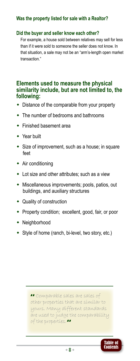#### **Was the property listed for sale with a Realtor?**

#### **Did the buyer and seller know each other?**

For example, a house sold between relatives may sell for less than if it were sold to someone the seller does not know. In that situation, a sale may not be an "arm's-length open market transaction."

#### **Elements used to measure the physical similarity include, but are not limited to, the following:**

- $\bullet$  Distance of the comparable from your property
- $\bullet$  The number of bedrooms and bathrooms
- $\bullet$  Finished basement area
- $\rightarrow$  Year built
- $\bullet$  Size of improvement, such as a house; in square feet
- $\bullet$  Air conditioning
- $\bullet$  Lot size and other attributes; such as a view
- $\bullet$  Miscellaneous improvements; pools, patios, out buildings, and auxiliary structures
- $\bullet$  Quality of construction
- Property condition; excellent, good, fair, or poor
- $\bullet$  Neighborhood
- $\bullet$  Style of home (ranch, bi-level, two story, etc.)

" Comparable sales are sales of other properties that are similar to yours. Many different standards are used to judge the comparability of the properties.

w8w

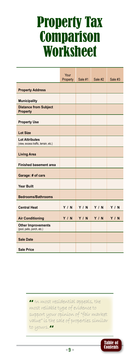### <span id="page-10-0"></span>Property Tax **Comparison** Worksheet

|                                                                | Your     |         |         |         |
|----------------------------------------------------------------|----------|---------|---------|---------|
|                                                                | Property | Sale #1 | Sale #2 | Sale #3 |
| <b>Property Address</b>                                        |          |         |         |         |
| <b>Municipality</b>                                            |          |         |         |         |
| <b>Distance from Subject</b><br><b>Property</b>                |          |         |         |         |
| <b>Property Use</b>                                            |          |         |         |         |
| <b>Lot Size</b>                                                |          |         |         |         |
| <b>Lot Attributes</b><br>(view, excess traffic, terrain, etc.) |          |         |         |         |
| <b>Living Area</b>                                             |          |         |         |         |
| <b>Finished basement area</b>                                  |          |         |         |         |
| Garage: # of cars                                              |          |         |         |         |
| <b>Year Built</b>                                              |          |         |         |         |
| <b>Bedrooms/Bathrooms</b>                                      |          |         |         |         |
| <b>Central Heat</b>                                            | Y / N    | Y/N     | Y / N   | Y/N     |
| <b>Air Conditioning</b>                                        | Y / N    | Y/N     | Y / N   | Y / N   |
| <b>Other Improvements</b><br>(pool, patio, porch, etc.)        |          |         |         |         |
| <b>Sale Date</b>                                               |          |         |         |         |
| <b>Sale Price</b>                                              |          |         |         |         |

■ In most resídentíal appeals, the<br>most relíable type of evídence to support your opinion of "fair market value" is the sale of properties similar to yours.

 $+9+$ 

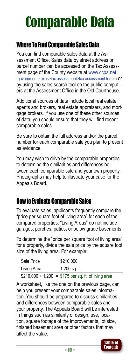### Comparable Data

### <span id="page-11-0"></span>Where To Find Comparable Sales Data

You can find comparable sales data at the Assessment Office. Sales data by street address or parcel number can be accessed on the Tax Assessment page of the County website at [www.ccpa.net](http://www.ccpa.net/index.aspx?nid=3587)  [\(government>taxes>tax assessment>tax assessment forms\)](http://www.ccpa.net/index.aspx?nid=3587) or by using the sales search tool on the public computers at the Assessment Office in the Old Courthouse.

Additional sources of data include local real estate agents and brokers, real estate appraisers, and mortgage brokers. If you use one of these other sources of data, you should ensure that they will find recent comparable sales.

Be sure to obtain the full address and/or the parcel number for each comparable sale you plan to present as evidence.

You may wish to drive by the comparable properties to determine the similarities and differences between each comparable sale and your own property. Photographs may help to illustrate your case for the Appeals Board.

### <span id="page-11-1"></span>How to Evaluate Comparable Sales

To evaluate sales, applicants frequently compare the "price per square foot of living area" for each of the compared properties. "Living Areas" do not include garages, porches, patios, or below grade basements.

To determine the "price per square foot of living area" for a property, divide the sale price by the square foot size of the living area. For example:

| Sale Price  | \$210,000                                                 |
|-------------|-----------------------------------------------------------|
| Living Area | $1,200$ sq. ft.                                           |
|             | \$210,000 $\div$ 1,200 = \$175 per sq. ft. of living area |

A worksheet, like the one on the previous page, can help you present your comparable sales information. You should be prepared to discuss similarities and differences between comparable sales and your property. The Appeals Board will be interested in things such as similarity of design, use, location, square footage of the improvements, lot size, finished basement area or other factors that may affect the value.

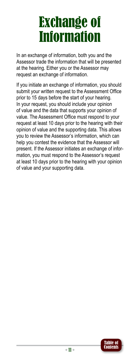### <span id="page-12-0"></span>Exchange of Information

In an exchange of information, both you and the Assessor trade the information that will be presented at the hearing. Either you or the Assessor may request an exchange of information.

If you initiate an exchange of information, you should submit your written request to the Assessment Office prior to 15 days before the start of your hearing. In your request, you should include your opinion of value and the data that supports your opinion of value. The Assessment Office must respond to your request at least 10 days prior to the hearing with their opinion of value and the supporting data. This allows you to review the Assessor's information, which can help you contest the evidence that the Assessor will present. If the Assessor initiates an exchange of information, you must respond to the Assessor's request at least 10 days prior to the hearing with your opinion of value and your supporting data.

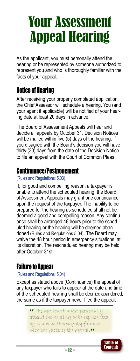### <span id="page-13-0"></span>Your Assessmen Appeal Hearing

As the applicant, you must personally attend the hearing or be represented by someone authorized to represent you and who is thoroughly familiar with the facts of your appeal.

### <span id="page-13-1"></span>Notice of Hearing

After receiving your properly completed application, the Chief Assessor will schedule a hearing. You (and your agent if applicable) will be notified of your hearing date at least 20 days in advance.

The Board of Assessment Appeals will hear and decide all appeals by October 31. Decision Notices will be mailed within five (5) days of the hearing. If you disagree with the Board's decision you will have thirty (30) days from the date of the Decision Notice to file an appeal with the Court of Common Pleas.

### <span id="page-13-2"></span>Continuance/Postponement

[\(Rules and Regulations: 5.03\)](http://www.ccpa.net/DocumentCenter/Home/View/7313)

If, for good and compelling reason, a taxpayer is unable to attend the scheduled hearing, the Board of Assessment Appeals may grant one continuance upon the request of the taxpayer. The inability to be prepared for the hearing as scheduled shall not be deemed a good and compelling reason. Any continuance shall be arranged 48 hours prior to the scheduled hearing or the hearing will be deemed abandoned (Rules and Regulations 5.04). The Board may waive the 48 hour period in emergency situations, at its discretion. The rescheduled hearing may be held after October 31st.

### <span id="page-13-3"></span>Failure to Appear

#### [\(Rules and Regulations: 5.04\)](http://www.ccpa.net/DocumentCenter/Home/View/7313)

Except as stated above (Continuance) the appeal of any taxpayer who fails to appear at the date and time of the scheduled hearing shall be deemed abandoned, the same as if the taxpayer never filed the appeal.

> **\*\*** The applicant must personally<br>attend the hearing or be represented by someone thoroughly familiar with the facts of the appeal.

> > $+12+$

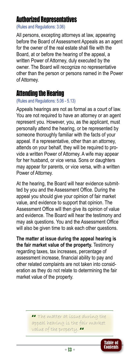### <span id="page-14-0"></span>Authorized Representatives

[\(Rules and Regulations: 3.06\)](http://www.ccpa.net/DocumentCenter/Home/View/7313)

All persons, excepting attorneys at law, appearing before the Board of Assessment Appeals as an agent for the owner of the real estate shall file with the Board, at or before the hearing of the appeal, a written Power of Attorney, duly executed by the owner. The Board will recognize no representative other than the person or persons named in the Power of Attorney.

### <span id="page-14-1"></span>Attending the Hearing

[\(Rules and Regulations: 5.06 - 5.13\)](http://www.ccpa.net/DocumentCenter/Home/View/7313)

Appeals hearings are not as formal as a court of law. You are not required to have an attorney or an agent represent you. However, you, as the applicant, must personally attend the hearing, or be represented by someone thoroughly familiar with the facts of your appeal. If a representative, other than an attorney, attends on your behalf, they will be required to provide a written Power of Attorney. A wife may appear for her husband, or vice versa. Sons or daughters may appear for parents, or vice versa, with a written Power of Attorney.

At the hearing, the Board will hear evidence submitted by you and the Assessment Office. During the appeal you should give your opinion of fair market value, and evidence to support that opinion. The Assessment Office will then give its opinion of value and evidence. The Board will hear the testimony and may ask questions. You and the Assessment Office will also be given time to ask each other questions.

**The matter at issue during the appeal hearing is the fair market value of the property.** Testimony regarding taxes, tax increases, percentage of assessment increase, financial ability to pay and other related complaints are not taken into consideration as they do not relate to determining the fair market value of the property.

> ■ The matter at issue during the<br>appeal hearing is the fair market value of the property.

> > $+13+$

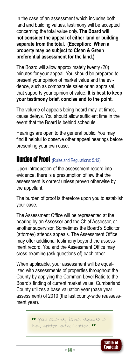In the case of an assessment which includes both land and building values, testimony will be accepted concerning the total value only. **The Board will not consider the appeal of either land or building separate from the total. (Exception: When a property may be subject to Clean & Green preferential assessment for the land.)**

The Board will allow approximately twenty (20) minutes for your appeal. You should be prepared to present your opinion of market value and the evidence, such as comparable sales or an appraisal, that supports your opinion of value. **It is best to keep your testimony brief, concise and to the point.**

The volume of appeals being heard may, at times, cause delays. You should allow sufficient time in the event that the Board is behind schedule.

Hearings are open to the general public. You may find it helpful to observe other appeal hearings before presenting your own case.

### <span id="page-15-0"></span>**Burden of Proof** [\(Rules and Regulations: 5.12\)](http://www.ccpa.net/DocumentCenter/Home/View/7313)

Upon introduction of the assessment record into evidence, there is a presumption of law that the assessment is correct unless proven otherwise by the appellant.

The burden of proof is therefore upon you to establish your case.

The Assessment Office will be represented at the hearing by an Assessor and the Chief Assessor, or another supervisor. Sometimes the Board's Solicitor (attorney) attends appeals. The Assessment Office may offer additional testimony beyond the assessment record. You and the Assessment Office may cross-examine (ask questions of) each other.

When applicable, your assessment will be equalized with assessments of properties throughout the County by applying the Common Level Ratio to the Board's finding of current market value. Cumberland County utilizes a base valuation year (base year assessment) of 2010 (the last county-wide reassessment year).

> " Your attorney is not required to have written authorization.

> > w14w

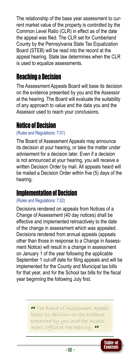The relationship of the base year assessment to current market value of the property is controlled by the Common Level Ratio (CLR) in effect as of the date the appeal was filed. The CLR set for Cumberland County by the Pennsylvania State Tax Equalization Board (STEB) will be read into the record at the appeal hearing. State law determines when the CLR is used to equalize assessments.

### <span id="page-16-0"></span>Reaching a Decision

The Assessment Appeals Board will base its decision on the evidence presented by you and the Assessor at the hearing. The Board will evaluate the suitability of any approach to value and the data you and the Assessor used to reach your conclusions.

### <span id="page-16-1"></span>Notice of Decision

[\(Rules and Regulations: 7.01\)](http://www.ccpa.net/DocumentCenter/Home/View/7313) 

The Board of Assessment Appeals may announce its decision at your hearing, or take the matter under advisement for a decision later. Even if a decision is not announced at your hearing, you will receive a written Decision Order by mail. All appeals heard will be mailed a Decision Order within five (5) days of the hearing.

### <span id="page-16-2"></span>Implementation of Decision

### [\(Rules and Regulations: 7.02\)](http://www.ccpa.net/DocumentCenter/Home/View/7313)

Decisions rendered on appeals from Notices of a Change of Assessment (40 day notices) shall be effective and implemented retroactively to the date of the change in assessment which was appealed. Decisions rendered from annual appeals (appeals other than those in response to a Change in Assessment Notice) will result in a change in assessment on January 1 of the year following the applicable September 1 cut-off date for filing appeals and will be implemented for the County and Municipal tax bills for that year, and for the School tax bills for the fiscal year beginning the following July first.

> **"** The Board of Assessment Appeals bases its decision on the evidence presented by you and the Assessment Office at the hearing.  $\blacksquare$

> > $+15+$

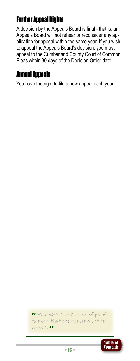### <span id="page-17-0"></span>Further Appeal Rights

A decision by the Appeals Board is final - that is, an Appeals Board will not rehear or reconsider any application for appeal within the same year. If you wish to appeal the Appeals Board's decision, you must appeal to the Cumberland County Court of Common Pleas within 30 days of the Decision Order date.

### <span id="page-17-1"></span>Annual Appeals

You have the right to file a new appeal each year.

" You have 'the burden of proof' to show that the assessment is  $wronq.$ 

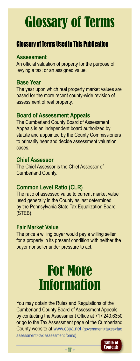### <span id="page-18-0"></span>Glossary of Terms

### Glossary of Terms Used in This Publication

### **Assessment**

An official valuation of property for the purpose of levying a tax; or an assigned value.

### **Base Year**

The year upon which real property market values are based for the more recent county-wide revision of assessment of real property.

### **Board of Assessment Appeals**

The Cumberland County Board of Assessment Appeals is an independent board authorized by statute and appointed by the County Commissioners to primarily hear and decide assessment valuation cases.

### **Chief Assessor**

The Chief Assessor is the Chief Assessor of Cumberland County.

### **Common Level Ratio (CLR)**

The ratio of assessed value to current market value used generally in the County as last determined by the Pennsylvania State Tax Equalization Board (STEB).

### **Fair Market Value**

The price a willing buyer would pay a willing seller for a property in its present condition with neither the buyer nor seller under pressure to act.

### <span id="page-18-1"></span>For More Information

You may obtain the Rules and Regulations of the Cumberland County Board of Assessment Appeals by contacting the Assessment Office at 717.240.6350 or go to the Tax Assessment page of the Cumberland County website at [www.ccpa.net \(government>taxes>tax](http://www.ccpa.net/index.aspx?nid=3587)  [assessment>tax assessment forms\)](http://www.ccpa.net/index.aspx?nid=3587).



 $\cdot$  17  $\cdot$